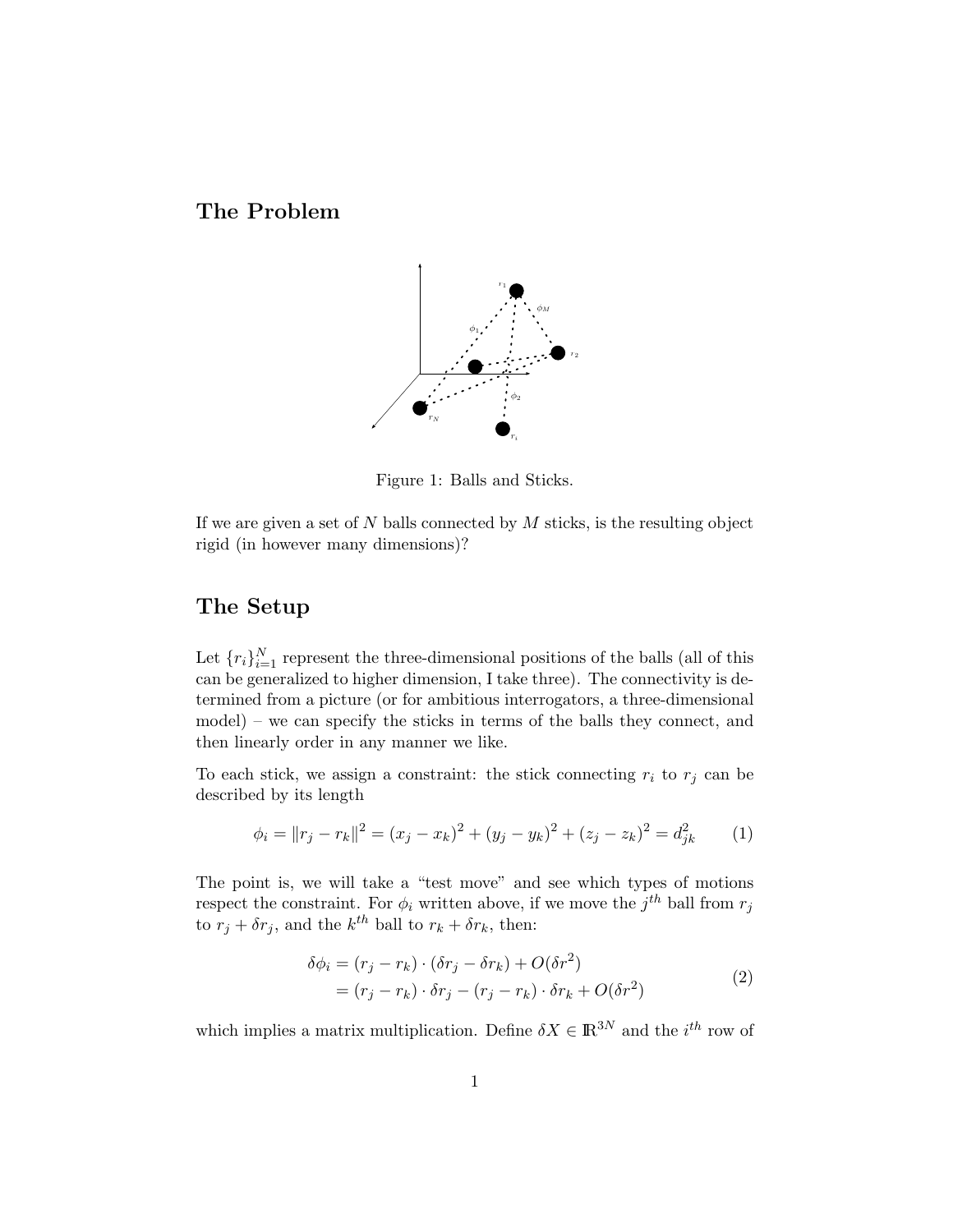The Problem



Figure 1: Balls and Sticks.

If we are given a set of  $N$  balls connected by  $M$  sticks, is the resulting object rigid (in however many dimensions)?

## The Setup

Let  ${r_i}_{i=1}^N$  represent the three-dimensional positions of the balls (all of this can be generalized to higher dimension, I take three). The connectivity is determined from a picture (or for ambitious interrogators, a three-dimensional model) – we can specify the sticks in terms of the balls they connect, and then linearly order in any manner we like.

To each stick, we assign a constraint: the stick connecting  $r_i$  to  $r_j$  can be described by its length

$$
\phi_i = ||r_j - r_k||^2 = (x_j - x_k)^2 + (y_j - y_k)^2 + (z_j - z_k)^2 = d_{jk}^2
$$
 (1)

The point is, we will take a "test move" and see which types of motions respect the constraint. For  $\phi_i$  written above, if we move the  $j^{th}$  ball from  $r_j$ to  $r_j + \delta r_j$ , and the  $k^{th}$  ball to  $r_k + \delta r_k$ , then:

$$
\delta\phi_i = (r_j - r_k) \cdot (\delta r_j - \delta r_k) + O(\delta r^2)
$$
  
=  $(r_j - r_k) \cdot \delta r_j - (r_j - r_k) \cdot \delta r_k + O(\delta r^2)$  (2)

which implies a matrix multiplication. Define  $\delta X \in \mathbb{R}^{3N}$  and the *i*<sup>th</sup> row of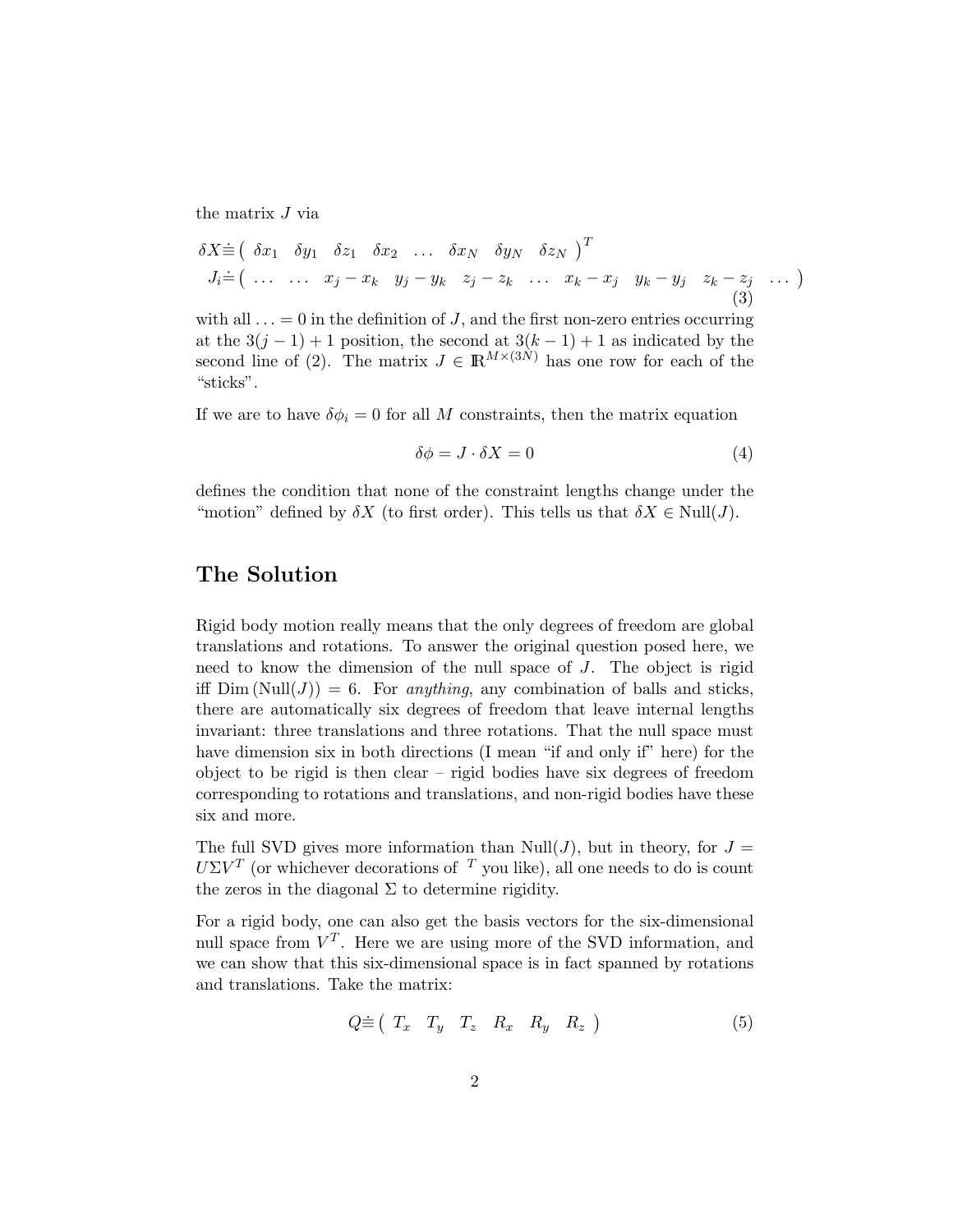the matrix J via

$$
\delta X \dot{\equiv} \begin{pmatrix} \delta x_1 & \delta y_1 & \delta z_1 & \delta x_2 & \dots & \delta x_N & \delta y_N & \delta z_N \end{pmatrix}^T
$$
\n
$$
J_i \dot{=} \begin{pmatrix} \dots & \dots & x_j - x_k & y_j - y_k & z_j - z_k & \dots & x_k - x_j & y_k - y_j & z_k - z_j & \dots \end{pmatrix} \tag{3}
$$

with all  $\ldots = 0$  in the definition of J, and the first non-zero entries occurring at the  $3(j-1)+1$  position, the second at  $3(k-1)+1$  as indicated by the second line of (2). The matrix  $J \in \mathbb{R}^{M \times (3N)}$  has one row for each of the "sticks".

If we are to have  $\delta \phi_i = 0$  for all M constraints, then the matrix equation

$$
\delta \phi = J \cdot \delta X = 0 \tag{4}
$$

defines the condition that none of the constraint lengths change under the "motion" defined by  $\delta X$  (to first order). This tells us that  $\delta X \in Null(J)$ .

## The Solution

Rigid body motion really means that the only degrees of freedom are global translations and rotations. To answer the original question posed here, we need to know the dimension of the null space of J. The object is rigid iff  $Dim(Null(J)) = 6$ . For *anything*, any combination of balls and sticks, there are automatically six degrees of freedom that leave internal lengths invariant: three translations and three rotations. That the null space must have dimension six in both directions (I mean "if and only if" here) for the object to be rigid is then clear – rigid bodies have six degrees of freedom corresponding to rotations and translations, and non-rigid bodies have these six and more.

The full SVD gives more information than Null(*J*), but in theory, for  $J =$  $U\Sigma V^T$  (or whichever decorations of  $T$  you like), all one needs to do is count the zeros in the diagonal  $\Sigma$  to determine rigidity.

For a rigid body, one can also get the basis vectors for the six-dimensional null space from  $V^T$ . Here we are using more of the SVD information, and we can show that this six-dimensional space is in fact spanned by rotations and translations. Take the matrix:

$$
Q \dot{\equiv} \begin{pmatrix} T_x & T_y & T_z & R_x & R_y & R_z \end{pmatrix} \tag{5}
$$